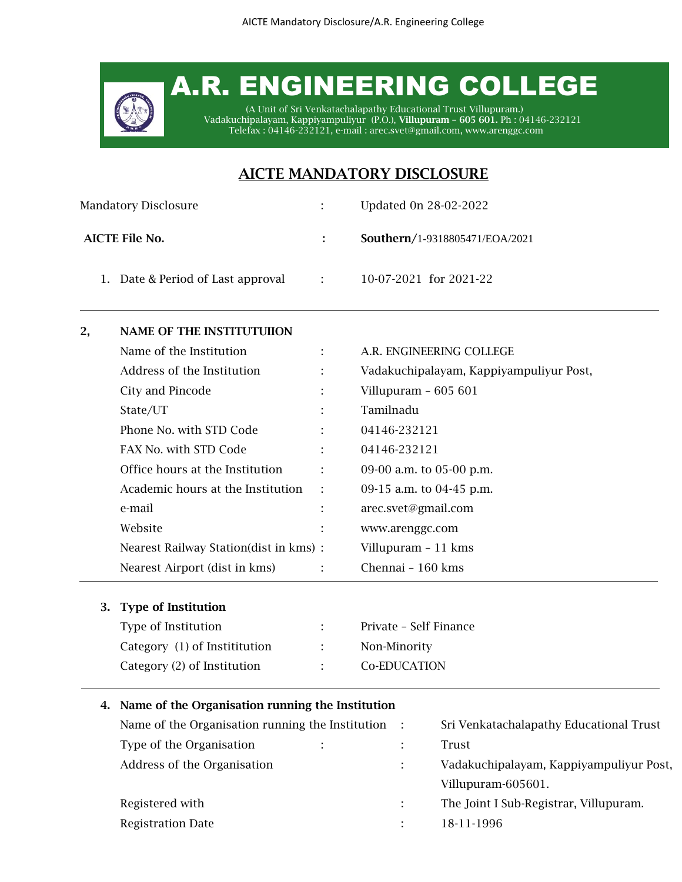# A.R. ENGINEERING COLLEGE

(A Unit of Sri Venkatachalapathy Educational Trust Villupuram.) Vadakuchipalayam, Kappiyampuliyur (P.O.), Villupuram – 605 601. Ph : 04146-232121 Telefax : 04146-232121, e-mail : [arec.svet@gmail.com,](mailto:arec.svet@gmail.com) www.arenggc.com

# AICTE MANDATORY DISCLOSURE

| <b>Mandatory Disclosure</b>       |                | Updated 0n 28-02-2022          |
|-----------------------------------|----------------|--------------------------------|
| AICTE File No.                    |                | Southern/1-9318805471/EOA/2021 |
| 1. Date & Period of Last approval | in the company | 10-07-2021 for 2021-22         |

# 2, NAME OF THE INSTITUTUIION

| Name of the Institution                |                | A.R. ENGINEERING COLLEGE                |
|----------------------------------------|----------------|-----------------------------------------|
| Address of the Institution             | ÷              | Vadakuchipalayam, Kappiyampuliyur Post, |
| City and Pincode                       |                | Villupuram $-605601$                    |
| State/UT                               |                | Tamilnadu                               |
| Phone No. with STD Code                |                | 04146-232121                            |
| FAX No. with STD Code                  | t.             | 04146-232121                            |
| Office hours at the Institution        | ÷              | 09-00 a.m. to 05-00 p.m.                |
| Academic hours at the Institution      | $\mathbb{R}^2$ | 09-15 a.m. to 04-45 p.m.                |
| e-mail                                 | t.             | arec.svet@gmail.com                     |
| Website                                |                | www.arenggc.com                         |
| Nearest Railway Station(dist in kms) : |                | Villupuram - 11 kms                     |
| Nearest Airport (dist in kms)          | ÷              | Chennai - 160 kms                       |

# 3. Type of Institution

| Type of Institution           | $\mathcal{L}^{\text{max}}$ | Private - Self Finance |
|-------------------------------|----------------------------|------------------------|
| Category (1) of Instititution | $\mathcal{L}$              | Non-Minority           |
| Category (2) of Institution   | identification             | Co-EDUCATION           |

# 4. Name of the Organisation running the Institution

| Name of the Organisation running the Institution :        |  | Sri Venkatachalapathy Educational Trust |
|-----------------------------------------------------------|--|-----------------------------------------|
| Type of the Organisation<br>$\mathbf{1}$ and $\mathbf{1}$ |  | Trust                                   |
| Address of the Organisation                               |  | Vadakuchipalayam, Kappiyampuliyur Post, |
|                                                           |  | Villupuram-605601.                      |
| Registered with                                           |  | The Joint I Sub-Registrar, Villupuram.  |
| <b>Registration Date</b>                                  |  | 18-11-1996                              |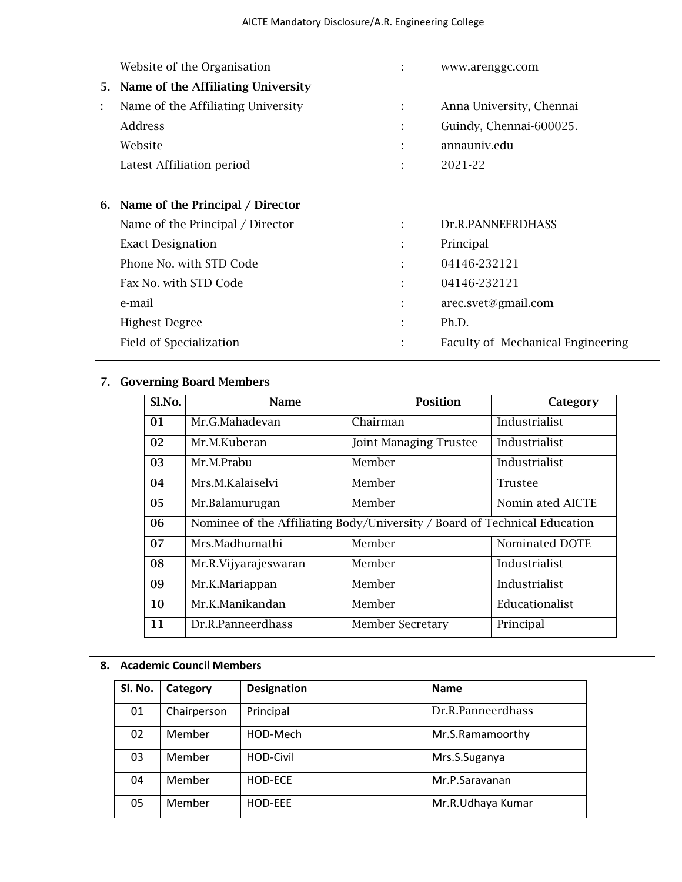| Anna University, Chennai |
|--------------------------|
| Guindy, Chennai-600025.  |
|                          |
|                          |
|                          |

# 6. Name of the Principal / Director

| Name of the Principal / Director |    | Dr.R.PANNEERDHASS                 |
|----------------------------------|----|-----------------------------------|
| <b>Exact Designation</b>         |    | Principal                         |
| Phone No. with STD Code          |    | 04146-232121                      |
| Fax No. with STD Code            |    | 04146-232121                      |
| e-mail                           |    | arec.svet@gmail.com               |
| <b>Highest Degree</b>            | ۰. | Ph.D.                             |
| Field of Specialization          |    | Faculty of Mechanical Engineering |
|                                  |    |                                   |

# 7. Governing Board Members

| Sl.No. | <b>Name</b>                                                               | <b>Position</b>               | Category         |
|--------|---------------------------------------------------------------------------|-------------------------------|------------------|
| 01     | Mr.G.Mahadevan                                                            | Chairman                      | Industrialist    |
| 02     | Mr.M.Kuberan                                                              | <b>Joint Managing Trustee</b> | Industrialist    |
| 03     | Mr.M.Prabu                                                                | Member                        | Industrialist    |
| 04     | Mrs.M.Kalaiselvi                                                          | Member                        | <b>Trustee</b>   |
| 05     | Mr.Balamurugan                                                            | Member                        | Nomin ated AICTE |
| 06     | Nominee of the Affiliating Body/University / Board of Technical Education |                               |                  |
| 07     | Mrs.Madhumathi                                                            | Member                        | Nominated DOTE   |
| 08     | Mr.R.Vijyarajeswaran                                                      | Member                        | Industrialist    |
| 09     | Mr.K.Mariappan                                                            | Member                        | Industrialist    |
| 10     | Mr.K.Manikandan                                                           | Member                        | Educationalist   |
| 11     | Dr.R.Panneerdhass                                                         | <b>Member Secretary</b>       | Principal        |

# **8. Academic Council Members**

| SI. No. | Category    | <b>Designation</b> | <b>Name</b>       |
|---------|-------------|--------------------|-------------------|
| 01      | Chairperson | Principal          | Dr.R.Panneerdhass |
| 02      | Member      | HOD-Mech           | Mr.S.Ramamoorthy  |
| 03      | Member      | HOD-Civil          | Mrs.S.Suganya     |
| 04      | Member      | HOD-ECE            | Mr.P.Saravanan    |
| 05      | Member      | HOD-EEE            | Mr.R.Udhaya Kumar |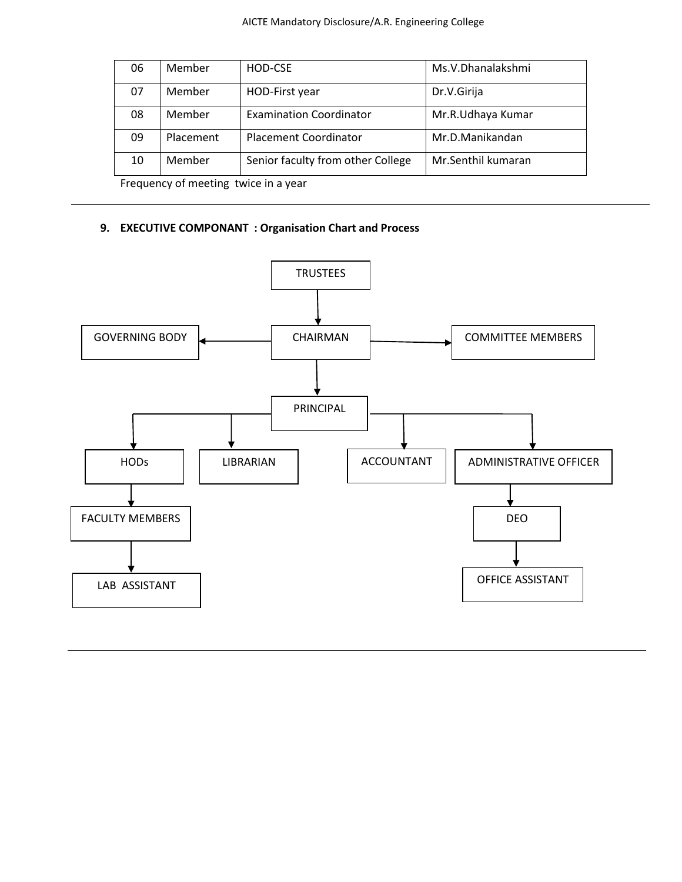| 06                | Member    | HOD-CSE                           | Ms.V.Dhanalakshmi  |
|-------------------|-----------|-----------------------------------|--------------------|
| 07                | Member    | HOD-First year                    | Dr.V.Girija        |
| 08                | Member    | <b>Examination Coordinator</b>    | Mr.R.Udhaya Kumar  |
| 09                | Placement | <b>Placement Coordinator</b>      | Mr.D.Manikandan    |
| 10                | Member    | Senior faculty from other College | Mr.Senthil kumaran |
| $E_{\text{real}}$ |           |                                   |                    |

Frequency of meeting twice in a year

# **9. EXECUTIVE COMPONANT : Organisation Chart and Process**

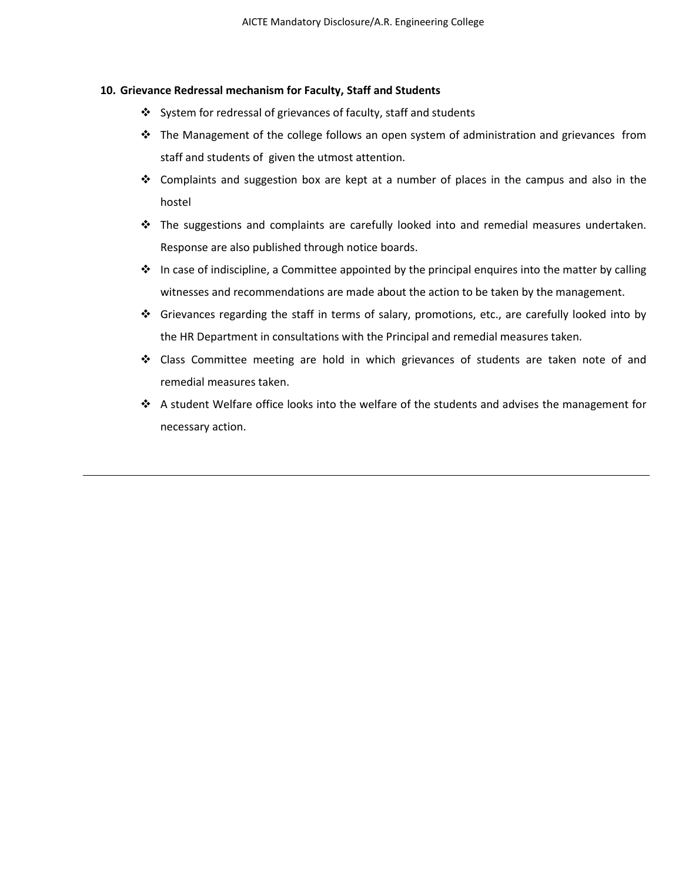## **10. Grievance Redressal mechanism for Faculty, Staff and Students**

- ❖ System for redressal of grievances of faculty, staff and students
- ❖ The Management of the college follows an open system of administration and grievances from staff and students of given the utmost attention.
- ❖ Complaints and suggestion box are kept at a number of places in the campus and also in the hostel
- ❖ The suggestions and complaints are carefully looked into and remedial measures undertaken. Response are also published through notice boards.
- ❖ In case of indiscipline, a Committee appointed by the principal enquires into the matter by calling witnesses and recommendations are made about the action to be taken by the management.
- ❖ Grievances regarding the staff in terms of salary, promotions, etc., are carefully looked into by the HR Department in consultations with the Principal and remedial measures taken.
- ❖ Class Committee meeting are hold in which grievances of students are taken note of and remedial measures taken.
- ❖ A student Welfare office looks into the welfare of the students and advises the management for necessary action.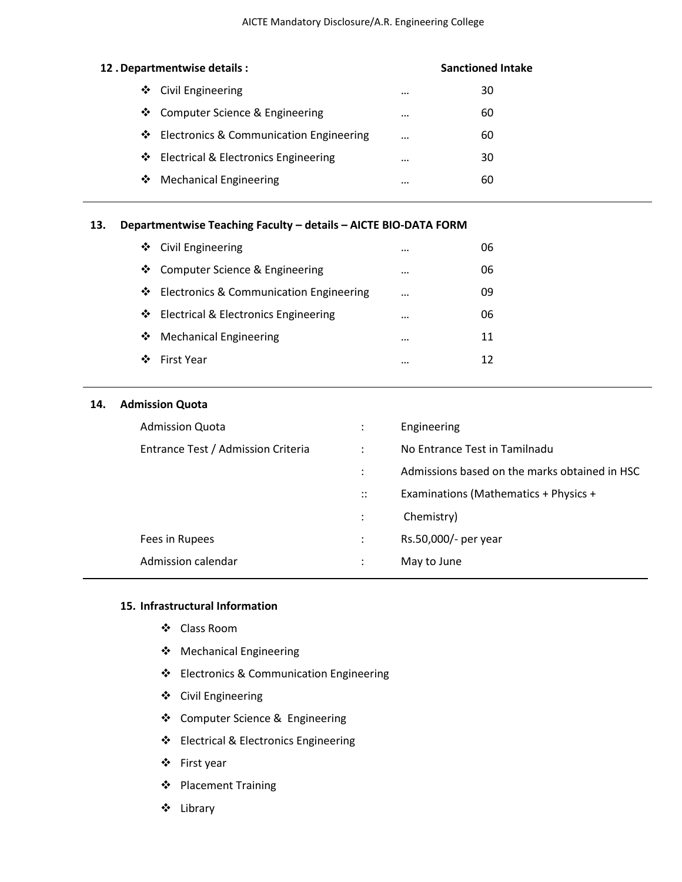|   | 12. Departmentwise details:               | <b>Sanctioned Intake</b> |    |  |
|---|-------------------------------------------|--------------------------|----|--|
| ❖ | Civil Engineering                         | $\cdots$                 | 30 |  |
|   | ❖ Computer Science & Engineering          | $\cdots$                 | 60 |  |
|   | ❖ Electronics & Communication Engineering | $\cdots$                 | 60 |  |
|   | ❖ Electrical & Electronics Engineering    | $\cdots$                 | 30 |  |
| ❖ | <b>Mechanical Engineering</b>             |                          | 60 |  |
|   |                                           |                          |    |  |

# **13. Departmentwise Teaching Faculty – details – AICTE BIO-DATA FORM**

| ❖ Civil Engineering                       |          | 06 |
|-------------------------------------------|----------|----|
| ❖ Computer Science & Engineering          | $\cdots$ | 06 |
| ❖ Electronics & Communication Engineering |          | 09 |
| ❖ Electrical & Electronics Engineering    |          | 06 |
| ❖ Mechanical Engineering                  |          | 11 |
| ❖ First Year                              |          | 12 |
|                                           |          |    |

# **14. Admission Quota**

| <b>Admission Quota</b>             | $\ddot{\cdot}$       | Engineering                                   |
|------------------------------------|----------------------|-----------------------------------------------|
| Entrance Test / Admission Criteria | $\ddot{\cdot}$       | No Entrance Test in Tamilnadu                 |
|                                    | $\ddot{\phantom{a}}$ | Admissions based on the marks obtained in HSC |
|                                    | $\ddots$             | Examinations (Mathematics + Physics +         |
|                                    | $\ddot{\cdot}$       | Chemistry)                                    |
| Fees in Rupees                     | $\ddot{\cdot}$       | Rs.50,000/- per year                          |
| Admission calendar                 | $\bullet$            | May to June                                   |
|                                    |                      |                                               |

# **15. Infrastructural Information**

- ❖ Class Room
- ❖ Mechanical Engineering
- ❖ Electronics & Communication Engineering
- ❖ Civil Engineering
- ❖ Computer Science & Engineering
- ❖ Electrical & Electronics Engineering
- ❖ First year
- ❖ Placement Training
- ❖ Library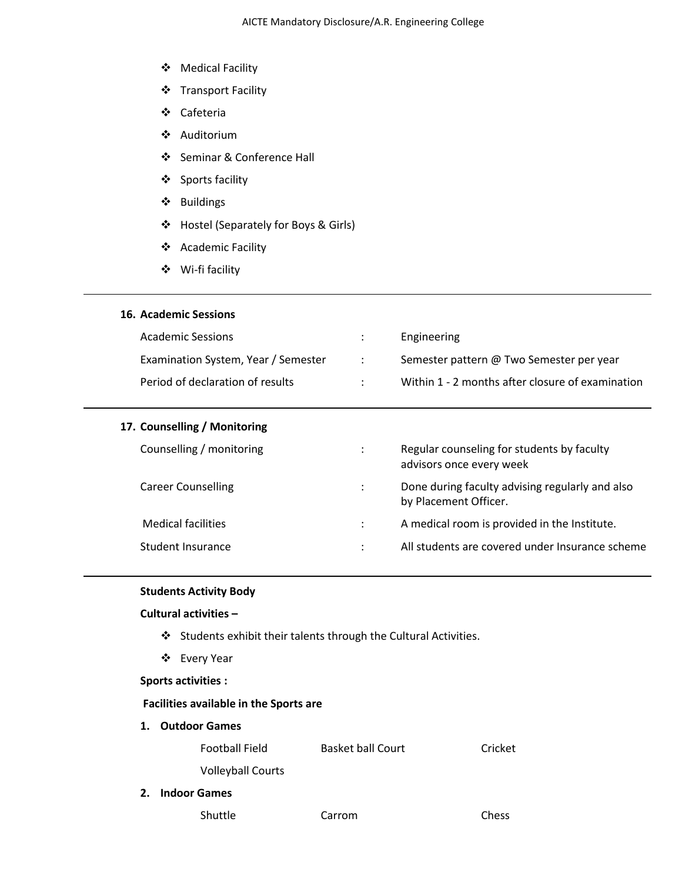- ❖ Medical Facility
- ❖ Transport Facility
- ❖ Cafeteria
- ❖ Auditorium
- ❖ Seminar & Conference Hall
- ❖ Sports facility
- ❖ Buildings
- ❖ Hostel (Separately for Boys & Girls)
- ❖ Academic Facility
- ❖ Wi-fi facility

# **16. Academic Sessions**

| <b>Academic Sessions</b>            |                          | Engineering                                      |
|-------------------------------------|--------------------------|--------------------------------------------------|
| Examination System, Year / Semester | <b>Contract Contract</b> | Semester pattern @ Two Semester per year         |
| Period of declaration of results    |                          | Within 1 - 2 months after closure of examination |

## **17. Counselling / Monitoring**

| Counselling / monitoring  | ÷ | Regular counseling for students by faculty<br>advisors once every week   |
|---------------------------|---|--------------------------------------------------------------------------|
| <b>Career Counselling</b> | ÷ | Done during faculty advising regularly and also<br>by Placement Officer. |
| Medical facilities        |   | A medical room is provided in the Institute.                             |
| Student Insurance         |   | All students are covered under Insurance scheme                          |
|                           |   |                                                                          |

### **Students Activity Body**

# **Cultural activities –**

- ❖ Students exhibit their talents through the Cultural Activities.
- ❖ Every Year

## **Sports activities :**

### **Facilities available in the Sports are**

**1. Outdoor Games**

| <b>Football Field</b> | <b>Basket ball Court</b> | Cricket |  |
|-----------------------|--------------------------|---------|--|
|                       |                          |         |  |

- Volleyball Courts
- **2. Indoor Games**

Shuttle Carrom Chess